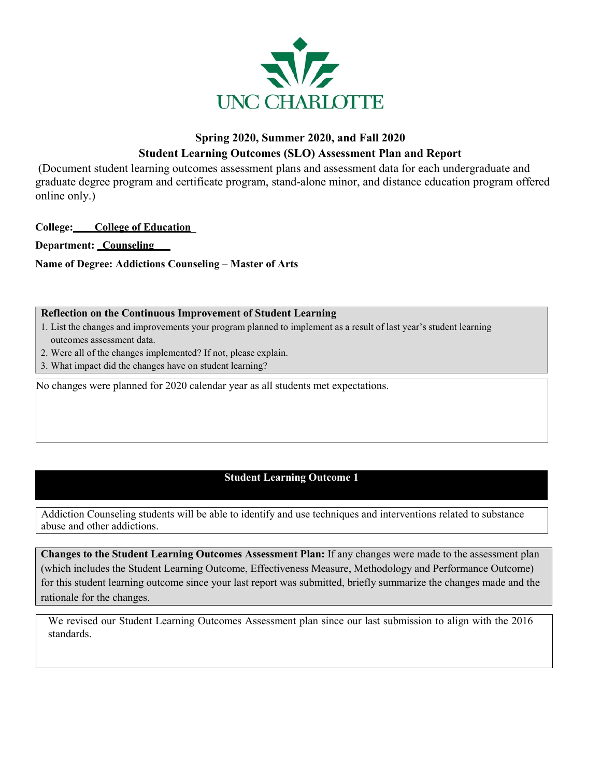

## **Spring 2020, Summer 2020, and Fall 2020 Student Learning Outcomes (SLO) Assessment Plan and Report**

(Document student learning outcomes assessment plans and assessment data for each undergraduate and graduate degree program and certificate program, stand-alone minor, and distance education program offered online only.)

**College: College of Education\_**

**Department: \_Counseling**

**Name of Degree: Addictions Counseling – Master of Arts**

#### **Reflection on the Continuous Improvement of Student Learning**

- 1. List the changes and improvements your program planned to implement as a result of last year's student learning outcomes assessment data.
- 2. Were all of the changes implemented? If not, please explain.
- 3. What impact did the changes have on student learning?

No changes were planned for 2020 calendar year as all students met expectations.

### **Student Learning Outcome 1**

Addiction Counseling students will be able to identify and use techniques and interventions related to substance abuse and other addictions.

**Changes to the Student Learning Outcomes Assessment Plan:** If any changes were made to the assessment plan (which includes the Student Learning Outcome, Effectiveness Measure, Methodology and Performance Outcome) for this student learning outcome since your last report was submitted, briefly summarize the changes made and the rationale for the changes.

We revised our Student Learning Outcomes Assessment plan since our last submission to align with the 2016 standards.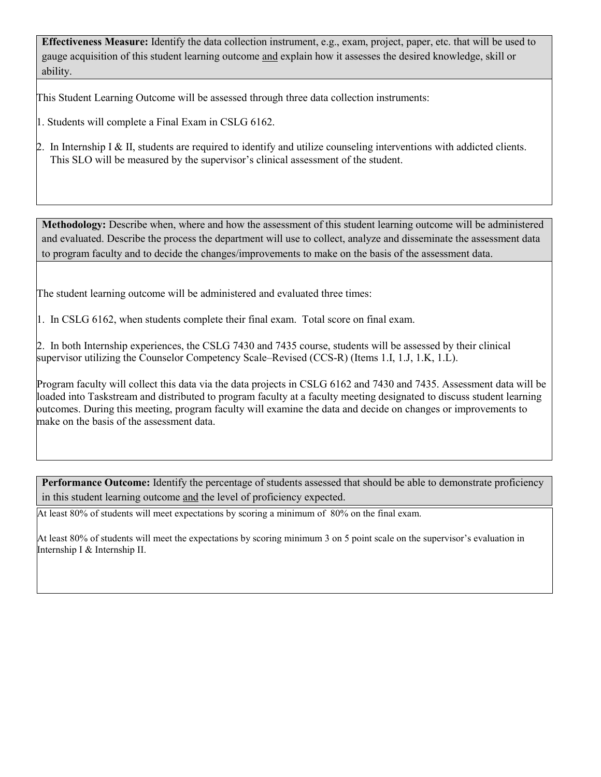**Effectiveness Measure:** Identify the data collection instrument, e.g., exam, project, paper, etc. that will be used to gauge acquisition of this student learning outcome and explain how it assesses the desired knowledge, skill or ability.

This Student Learning Outcome will be assessed through three data collection instruments:

- 1. Students will complete a Final Exam in CSLG 6162.
- 2. In Internship I & II, students are required to identify and utilize counseling interventions with addicted clients. This SLO will be measured by the supervisor's clinical assessment of the student.

**Methodology:** Describe when, where and how the assessment of this student learning outcome will be administered and evaluated. Describe the process the department will use to collect, analyze and disseminate the assessment data to program faculty and to decide the changes/improvements to make on the basis of the assessment data.

The student learning outcome will be administered and evaluated three times:

1. In CSLG 6162, when students complete their final exam. Total score on final exam.

2. In both Internship experiences, the CSLG 7430 and 7435 course, students will be assessed by their clinical supervisor utilizing the Counselor Competency Scale–Revised (CCS-R) (Items 1.I, 1.J, 1.K, 1.L).

Program faculty will collect this data via the data projects in CSLG 6162 and 7430 and 7435. Assessment data will be loaded into Taskstream and distributed to program faculty at a faculty meeting designated to discuss student learning outcomes. During this meeting, program faculty will examine the data and decide on changes or improvements to make on the basis of the assessment data.

**Performance Outcome:** Identify the percentage of students assessed that should be able to demonstrate proficiency in this student learning outcome and the level of proficiency expected.

At least 80% of students will meet expectations by scoring a minimum of 80% on the final exam.

At least 80% of students will meet the expectations by scoring minimum 3 on 5 point scale on the supervisor's evaluation in Internship I & Internship II.